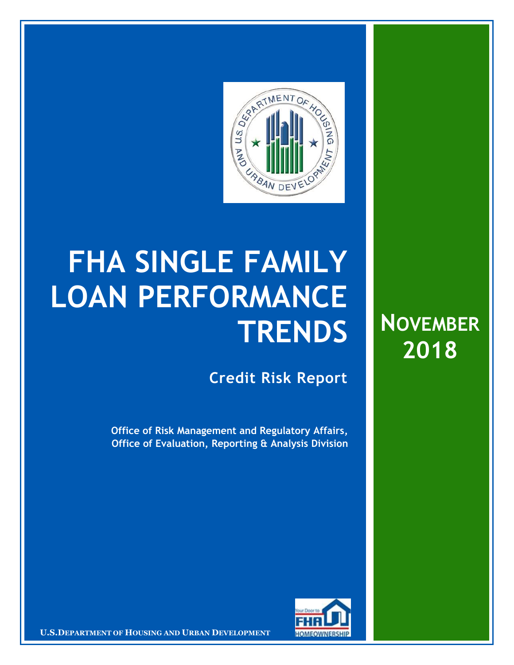

# **FHA SINGLE FAMILY LOAN PERFORMANCE TRENDS**

**Credit Risk Report**

**Office of Risk Management and Regulatory Affairs, Office of Evaluation, Reporting & Analysis Division**





**EXAMPLE 2019 IN THE INTERNAL USE ON DESCRIPTION OF PROPERTY AND <b>CONFIDENT CONFIDENT**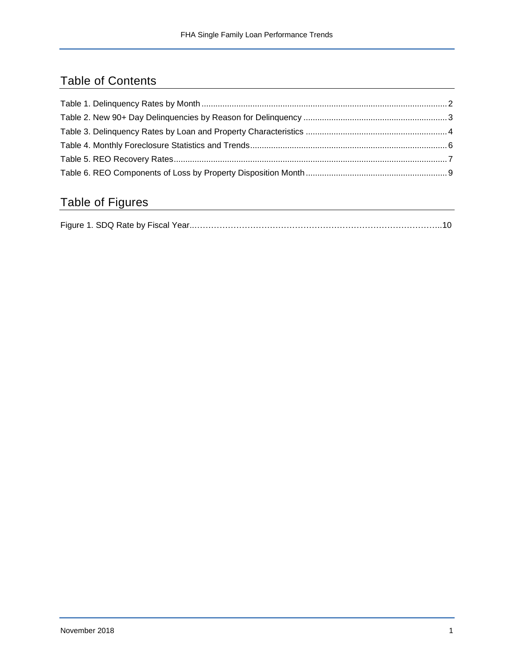## Table of Contents

## Table of Figures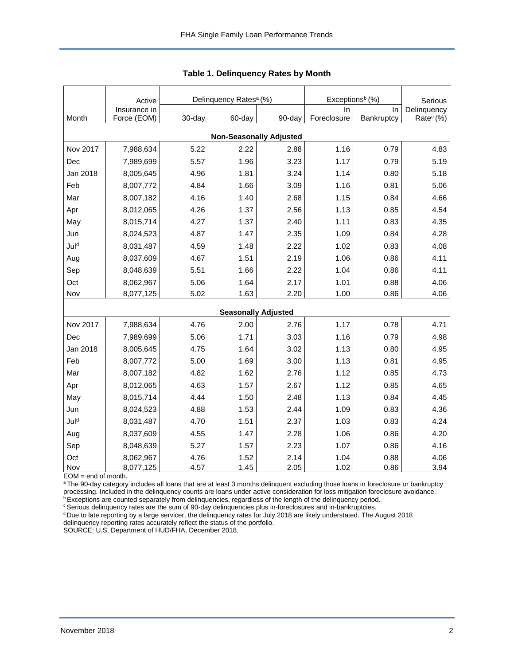<span id="page-2-0"></span>

|                                | Active<br>Insurance in |        | Delinquency Rates <sup>a</sup> (%) |        | Exceptions <sup>b</sup> (%)<br>In | Serious<br>Delinquency |                       |  |  |  |
|--------------------------------|------------------------|--------|------------------------------------|--------|-----------------------------------|------------------------|-----------------------|--|--|--|
| Month                          | Force (EOM)            | 30-day | 60-day                             | 90-day | Foreclosure                       | In<br>Bankruptcy       | Rate <sup>c</sup> (%) |  |  |  |
| <b>Non-Seasonally Adjusted</b> |                        |        |                                    |        |                                   |                        |                       |  |  |  |
| Nov 2017                       | 7,988,634              | 5.22   | 2.22                               | 2.88   | 1.16                              | 0.79                   | 4.83                  |  |  |  |
| Dec                            | 7,989,699              | 5.57   | 1.96                               | 3.23   | 1.17                              | 0.79                   | 5.19                  |  |  |  |
| Jan 2018                       | 8,005,645              | 4.96   | 1.81                               | 3.24   | 1.14                              | 0.80                   | 5.18                  |  |  |  |
| Feb                            | 8,007,772              | 4.84   | 1.66                               | 3.09   | 1.16                              | 0.81                   | 5.06                  |  |  |  |
| Mar                            | 8,007,182              | 4.16   | 1.40                               | 2.68   | 1.15                              | 0.84                   | 4.66                  |  |  |  |
| Apr                            | 8,012,065              | 4.26   | 1.37                               | 2.56   | 1.13                              | 0.85                   | 4.54                  |  |  |  |
| May                            | 8,015,714              | 4.27   | 1.37                               | 2.40   | 1.11                              | 0.83                   | 4.35                  |  |  |  |
| Jun                            | 8,024,523              | 4.87   | 1.47                               | 2.35   | 1.09                              | 0.84                   | 4.28                  |  |  |  |
| Juld                           | 8,031,487              | 4.59   | 1.48                               | 2.22   | 1.02                              | 0.83                   | 4.08                  |  |  |  |
| Aug                            | 8,037,609              | 4.67   | 1.51                               | 2.19   | 1.06                              | 0.86                   | 4.11                  |  |  |  |
| Sep                            | 8,048,639              | 5.51   | 1.66                               | 2.22   | 1.04                              | 0.86                   | 4.11                  |  |  |  |
| Oct                            | 8,062,967              | 5.06   | 1.64                               | 2.17   | 1.01                              | 0.88                   | 4.06                  |  |  |  |
| Nov                            | 8,077,125              | 5.02   | 1.63                               | 2.20   | 1.00                              | 0.86                   | 4.06                  |  |  |  |
|                                |                        |        | <b>Seasonally Adjusted</b>         |        |                                   |                        |                       |  |  |  |
| Nov 2017                       | 7,988,634              | 4.76   | 2.00                               | 2.76   | 1.17                              | 0.78                   | 4.71                  |  |  |  |
| Dec                            | 7,989,699              | 5.06   | 1.71                               | 3.03   | 1.16                              | 0.79                   | 4.98                  |  |  |  |
| Jan 2018                       | 8,005,645              | 4.75   | 1.64                               | 3.02   | 1.13                              | 0.80                   | 4.95                  |  |  |  |
| Feb                            | 8,007,772              | 5.00   | 1.69                               | 3.00   | 1.13                              | 0.81                   | 4.95                  |  |  |  |
| Mar                            | 8,007,182              | 4.82   | 1.62                               | 2.76   | 1.12                              | 0.85                   | 4.73                  |  |  |  |
| Apr                            | 8,012,065              | 4.63   | 1.57                               | 2.67   | 1.12                              | 0.85                   | 4.65                  |  |  |  |
| May                            | 8,015,714              | 4.44   | 1.50                               | 2.48   | 1.13                              | 0.84                   | 4.45                  |  |  |  |
| Jun                            | 8,024,523              | 4.88   | 1.53                               | 2.44   | 1.09                              | 0.83                   | 4.36                  |  |  |  |
| Juld                           | 8,031,487              | 4.70   | 1.51                               | 2.37   | 1.03                              | 0.83                   | 4.24                  |  |  |  |
| Aug                            | 8,037,609              | 4.55   | 1.47                               | 2.28   | 1.06                              | 0.86                   | 4.20                  |  |  |  |
| Sep                            | 8,048,639              | 5.27   | 1.57                               | 2.23   | 1.07                              | 0.86                   | 4.16                  |  |  |  |
| Oct                            | 8,062,967              | 4.76   | 1.52                               | 2.14   | 1.04                              | 0.88                   | 4.06                  |  |  |  |
| Nov                            | 8,077,125              | 4.57   | 1.45                               | 2.05   | 1.02                              | 0.86                   | 3.94                  |  |  |  |

| <b>Table 1. Delinquency Rates by Month</b> |
|--------------------------------------------|
|--------------------------------------------|

EOM = end of month.

a The 90-day category includes all loans that are at least 3 months delinquent excluding those loans in foreclosure or bankruptcy processing. Included in the delinquency counts are loans under active consideration for loss mitigation foreclosure avoidance.

 $b$  Exceptions are counted separately from delinquencies, regardless of the length of the delinquency period. <sup>c</sup> Serious delinquency rates are the sum of 90-day delinquencies plus in-foreclosures and in-bankruptcies.

<sup>d</sup> Due to late reporting by a large servicer, the delinquency rates for July 2018 are likely understated. The August 2018 delinquency reporting rates accurately reflect the status of the portfolio.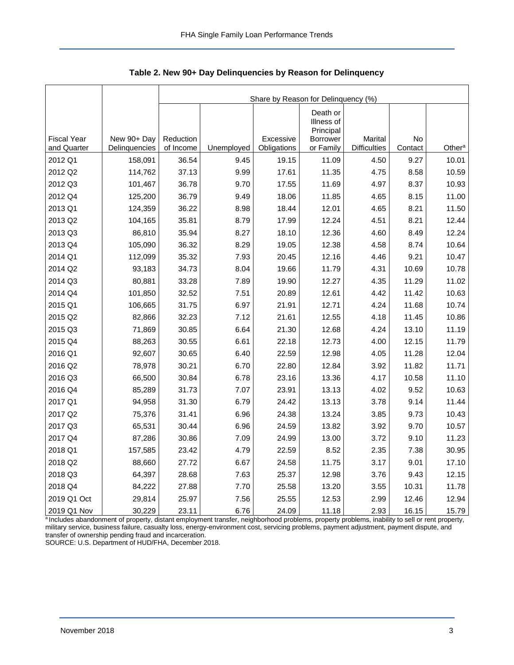|                                   |                              |                        | Share by Reason for Delinquency (%) |                          |                                     |                                |               |                    |  |  |  |
|-----------------------------------|------------------------------|------------------------|-------------------------------------|--------------------------|-------------------------------------|--------------------------------|---------------|--------------------|--|--|--|
|                                   |                              |                        |                                     |                          | Death or<br>Illness of<br>Principal |                                |               |                    |  |  |  |
| <b>Fiscal Year</b><br>and Quarter | New 90+ Day<br>Delinquencies | Reduction<br>of Income | Unemployed                          | Excessive<br>Obligations | Borrower<br>or Family               | Marital<br><b>Difficulties</b> | No<br>Contact | Other <sup>a</sup> |  |  |  |
| 2012 Q1                           | 158,091                      | 36.54                  | 9.45                                | 19.15                    | 11.09                               | 4.50                           | 9.27          | 10.01              |  |  |  |
| 2012 Q2                           | 114,762                      | 37.13                  | 9.99                                | 17.61                    | 11.35                               | 4.75                           | 8.58          | 10.59              |  |  |  |
| 2012 Q3                           | 101,467                      | 36.78                  | 9.70                                | 17.55                    | 11.69                               | 4.97                           | 8.37          | 10.93              |  |  |  |
| 2012 Q4                           | 125,200                      | 36.79                  | 9.49                                | 18.06                    | 11.85                               | 4.65                           | 8.15          | 11.00              |  |  |  |
| 2013 Q1                           | 124,359                      | 36.22                  | 8.98                                | 18.44                    | 12.01                               | 4.65                           | 8.21          | 11.50              |  |  |  |
| 2013 Q2                           | 104,165                      | 35.81                  | 8.79                                | 17.99                    | 12.24                               | 4.51                           | 8.21          | 12.44              |  |  |  |
| 2013 Q3                           | 86,810                       | 35.94                  | 8.27                                | 18.10                    | 12.36                               | 4.60                           | 8.49          | 12.24              |  |  |  |
| 2013 Q4                           | 105,090                      | 36.32                  | 8.29                                | 19.05                    | 12.38                               | 4.58                           | 8.74          | 10.64              |  |  |  |
| 2014 Q1                           | 112,099                      | 35.32                  | 7.93                                | 20.45                    | 12.16                               | 4.46                           | 9.21          | 10.47              |  |  |  |
| 2014 Q2                           | 93,183                       | 34.73                  | 8.04                                | 19.66                    | 11.79                               | 4.31                           | 10.69         | 10.78              |  |  |  |
| 2014 Q3                           | 80,881                       | 33.28                  | 7.89                                | 19.90                    | 12.27                               | 4.35                           | 11.29         | 11.02              |  |  |  |
| 2014 Q4                           | 101,850                      | 32.52                  | 7.51                                | 20.89                    | 12.61                               | 4.42                           | 11.42         | 10.63              |  |  |  |
| 2015 Q1                           | 106,665                      | 31.75                  | 6.97                                | 21.91                    | 12.71                               | 4.24                           | 11.68         | 10.74              |  |  |  |
| 2015 Q2                           | 82,866                       | 32.23                  | 7.12                                | 21.61                    | 12.55                               | 4.18                           | 11.45         | 10.86              |  |  |  |
| 2015 Q3                           | 71,869                       | 30.85                  | 6.64                                | 21.30                    | 12.68                               | 4.24                           | 13.10         | 11.19              |  |  |  |
| 2015 Q4                           | 88,263                       | 30.55                  | 6.61                                | 22.18                    | 12.73                               | 4.00                           | 12.15         | 11.79              |  |  |  |
| 2016 Q1                           | 92,607                       | 30.65                  | 6.40                                | 22.59                    | 12.98                               | 4.05                           | 11.28         | 12.04              |  |  |  |
| 2016 Q2                           | 78,978                       | 30.21                  | 6.70                                | 22.80                    | 12.84                               | 3.92                           | 11.82         | 11.71              |  |  |  |
| 2016 Q3                           | 66,500                       | 30.84                  | 6.78                                | 23.16                    | 13.36                               | 4.17                           | 10.58         | 11.10              |  |  |  |
| 2016 Q4                           | 85,289                       | 31.73                  | 7.07                                | 23.91                    | 13.13                               | 4.02                           | 9.52          | 10.63              |  |  |  |
| 2017 Q1                           | 94,958                       | 31.30                  | 6.79                                | 24.42                    | 13.13                               | 3.78                           | 9.14          | 11.44              |  |  |  |
| 2017 Q2                           | 75,376                       | 31.41                  | 6.96                                | 24.38                    | 13.24                               | 3.85                           | 9.73          | 10.43              |  |  |  |
| 2017 Q3                           | 65,531                       | 30.44                  | 6.96                                | 24.59                    | 13.82                               | 3.92                           | 9.70          | 10.57              |  |  |  |
| 2017 Q4                           | 87,286                       | 30.86                  | 7.09                                | 24.99                    | 13.00                               | 3.72                           | 9.10          | 11.23              |  |  |  |
| 2018 Q1                           | 157,585                      | 23.42                  | 4.79                                | 22.59                    | 8.52                                | 2.35                           | 7.38          | 30.95              |  |  |  |
| 2018 Q2                           | 88,660                       | 27.72                  | 6.67                                | 24.58                    | 11.75                               | 3.17                           | 9.01          | 17.10              |  |  |  |
| 2018 Q3                           | 64,397                       | 28.68                  | 7.63                                | 25.37                    | 12.98                               | 3.76                           | 9.43          | 12.15              |  |  |  |
| 2018 Q4                           | 84,222                       | 27.88                  | 7.70                                | 25.58                    | 13.20                               | 3.55                           | 10.31         | 11.78              |  |  |  |
| 2019 Q1 Oct                       | 29,814                       | 25.97                  | 7.56                                | 25.55                    | 12.53                               | 2.99                           | 12.46         | 12.94              |  |  |  |
| 2019 Q1 Nov                       | 30,229                       | 23.11                  | 6.76                                | 24.09                    | 11.18                               | 2.93                           | 16.15         | 15.79              |  |  |  |

<span id="page-3-0"></span>**Table 2. New 90+ Day Delinquencies by Reason for Delinquency**

a Includes abandonment of property, distant employment transfer, neighborhood problems, property problems, inability to sell or rent property, military service, business failure, casualty loss, energy-environment cost, servicing problems, payment adjustment, payment dispute, and transfer of ownership pending fraud and incarceration.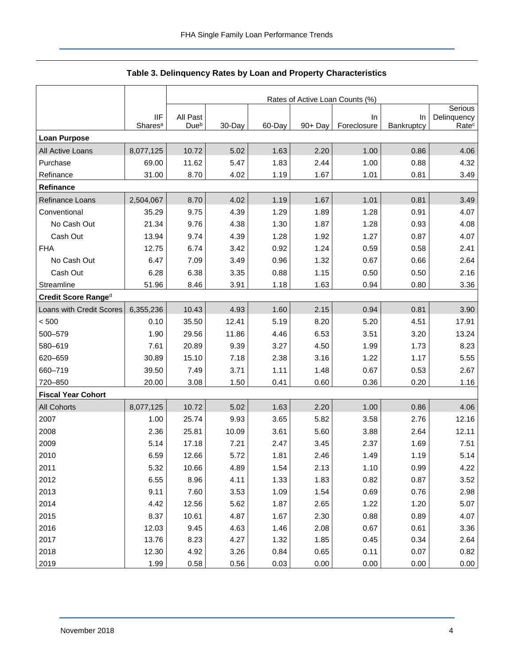<span id="page-4-0"></span>

|                           |                     |                  |        |        |         | Rates of Active Loan Counts (%) |            |                        |
|---------------------------|---------------------|------------------|--------|--------|---------|---------------------------------|------------|------------------------|
|                           | <b>IIF</b>          | All Past         |        |        |         | In                              | In         | Serious<br>Delinquency |
|                           | Shares <sup>a</sup> | Due <sup>b</sup> | 30-Day | 60-Day | 90+ Day | Foreclosure                     | Bankruptcy | Rate <sup>c</sup>      |
| <b>Loan Purpose</b>       |                     |                  |        |        |         |                                 |            |                        |
| All Active Loans          | 8,077,125           | 10.72            | 5.02   | 1.63   | 2.20    | 1.00                            | 0.86       | 4.06                   |
| Purchase                  | 69.00               | 11.62            | 5.47   | 1.83   | 2.44    | 1.00                            | 0.88       | 4.32                   |
| Refinance                 | 31.00               | 8.70             | 4.02   | 1.19   | 1.67    | 1.01                            | 0.81       | 3.49                   |
| Refinance                 |                     |                  |        |        |         |                                 |            |                        |
| Refinance Loans           | 2,504,067           | 8.70             | 4.02   | 1.19   | 1.67    | 1.01                            | 0.81       | 3.49                   |
| Conventional              | 35.29               | 9.75             | 4.39   | 1.29   | 1.89    | 1.28                            | 0.91       | 4.07                   |
| No Cash Out               | 21.34               | 9.76             | 4.38   | 1.30   | 1.87    | 1.28                            | 0.93       | 4.08                   |
| Cash Out                  | 13.94               | 9.74             | 4.39   | 1.28   | 1.92    | 1.27                            | 0.87       | 4.07                   |
| <b>FHA</b>                | 12.75               | 6.74             | 3.42   | 0.92   | 1.24    | 0.59                            | 0.58       | 2.41                   |
| No Cash Out               | 6.47                | 7.09             | 3.49   | 0.96   | 1.32    | 0.67                            | 0.66       | 2.64                   |
| Cash Out                  | 6.28                | 6.38             | 3.35   | 0.88   | 1.15    | 0.50                            | 0.50       | 2.16                   |
| Streamline                | 51.96               | 8.46             | 3.91   | 1.18   | 1.63    | 0.94                            | 0.80       | 3.36                   |
| Credit Score Ranged       |                     |                  |        |        |         |                                 |            |                        |
| Loans with Credit Scores  | 6,355,236           | 10.43            | 4.93   | 1.60   | 2.15    | 0.94                            | 0.81       | 3.90                   |
| < 500                     | 0.10                | 35.50            | 12.41  | 5.19   | 8.20    | 5.20                            | 4.51       | 17.91                  |
| 500-579                   | 1.90                | 29.56            | 11.86  | 4.46   | 6.53    | 3.51                            | 3.20       | 13.24                  |
| 580-619                   | 7.61                | 20.89            | 9.39   | 3.27   | 4.50    | 1.99                            | 1.73       | 8.23                   |
| 620-659                   | 30.89               | 15.10            | 7.18   | 2.38   | 3.16    | 1.22                            | 1.17       | 5.55                   |
| 660-719                   | 39.50               | 7.49             | 3.71   | 1.11   | 1.48    | 0.67                            | 0.53       | 2.67                   |
| 720-850                   | 20.00               | 3.08             | 1.50   | 0.41   | 0.60    | 0.36                            | 0.20       | 1.16                   |
| <b>Fiscal Year Cohort</b> |                     |                  |        |        |         |                                 |            |                        |
| All Cohorts               | 8,077,125           | 10.72            | 5.02   | 1.63   | 2.20    | 1.00                            | 0.86       | 4.06                   |
| 2007                      | 1.00                | 25.74            | 9.93   | 3.65   | 5.82    | 3.58                            | 2.76       | 12.16                  |
| 2008                      | 2.36                | 25.81            | 10.09  | 3.61   | 5.60    | 3.88                            | 2.64       | 12.11                  |
| 2009                      | 5.14                | 17.18            | 7.21   | 2.47   | 3.45    | 2.37                            | 1.69       | 7.51                   |
| 2010                      | 6.59                | 12.66            | 5.72   | 1.81   | 2.46    | 1.49                            | 1.19       | 5.14                   |
| 2011                      | 5.32                | 10.66            | 4.89   | 1.54   | 2.13    | 1.10                            | 0.99       | 4.22                   |
| 2012                      | 6.55                | 8.96             | 4.11   | 1.33   | 1.83    | 0.82                            | 0.87       | 3.52                   |
| 2013                      | 9.11                | 7.60             | 3.53   | 1.09   | 1.54    | 0.69                            | 0.76       | 2.98                   |
| 2014                      | 4.42                | 12.56            | 5.62   | 1.87   | 2.65    | 1.22                            | 1.20       | 5.07                   |
| 2015                      | 8.37                | 10.61            | 4.87   | 1.67   | 2.30    | 0.88                            | 0.89       | 4.07                   |
| 2016                      | 12.03               | 9.45             | 4.63   | 1.46   | 2.08    | 0.67                            | 0.61       | 3.36                   |
| 2017                      | 13.76               | 8.23             | 4.27   | 1.32   | 1.85    | 0.45                            | 0.34       | 2.64                   |
| 2018                      | 12.30               | 4.92             | 3.26   | 0.84   | 0.65    | 0.11                            | 0.07       | 0.82                   |
| 2019                      | 1.99                | 0.58             | 0.56   | 0.03   | 0.00    | 0.00                            | 0.00       | 0.00                   |

#### **Table 3. Delinquency Rates by Loan and Property Characteristics**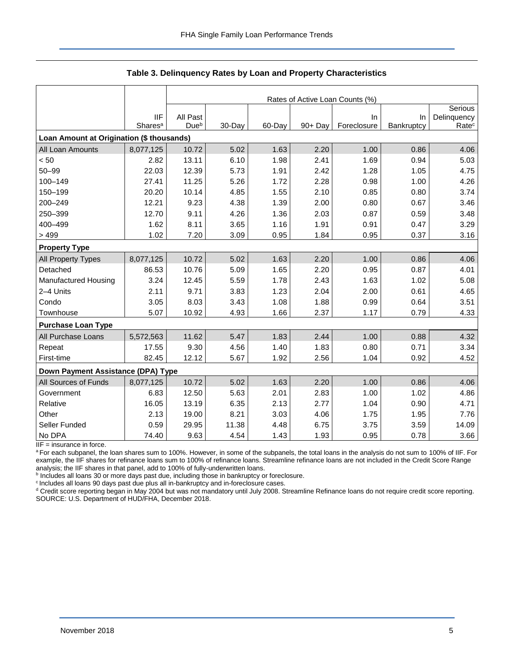|                                           |                     | Rates of Active Loan Counts (%) |        |        |         |             |            |                   |
|-------------------------------------------|---------------------|---------------------------------|--------|--------|---------|-------------|------------|-------------------|
|                                           |                     |                                 |        |        |         |             |            | Serious           |
|                                           | <b>IIF</b>          | All Past                        |        |        |         | In.         | In         | Delinquency       |
|                                           | Shares <sup>a</sup> | Due <sup>b</sup>                | 30-Day | 60-Day | 90+ Day | Foreclosure | Bankruptcy | Rate <sup>c</sup> |
| Loan Amount at Origination (\$ thousands) |                     |                                 |        |        |         |             |            |                   |
| All Loan Amounts                          | 8,077,125           | 10.72                           | 5.02   | 1.63   | 2.20    | 1.00        | 0.86       | 4.06              |
| < 50                                      | 2.82                | 13.11                           | 6.10   | 1.98   | 2.41    | 1.69        | 0.94       | 5.03              |
| $50 - 99$                                 | 22.03               | 12.39                           | 5.73   | 1.91   | 2.42    | 1.28        | 1.05       | 4.75              |
| 100-149                                   | 27.41               | 11.25                           | 5.26   | 1.72   | 2.28    | 0.98        | 1.00       | 4.26              |
| 150-199                                   | 20.20               | 10.14                           | 4.85   | 1.55   | 2.10    | 0.85        | 0.80       | 3.74              |
| 200-249                                   | 12.21               | 9.23                            | 4.38   | 1.39   | 2.00    | 0.80        | 0.67       | 3.46              |
| 250-399                                   | 12.70               | 9.11                            | 4.26   | 1.36   | 2.03    | 0.87        | 0.59       | 3.48              |
| 400-499                                   | 1.62                | 8.11                            | 3.65   | 1.16   | 1.91    | 0.91        | 0.47       | 3.29              |
| >499                                      | 1.02                | 7.20                            | 3.09   | 0.95   | 1.84    | 0.95        | 0.37       | 3.16              |
| <b>Property Type</b>                      |                     |                                 |        |        |         |             |            |                   |
| All Property Types                        | 8,077,125           | 10.72                           | 5.02   | 1.63   | 2.20    | 1.00        | 0.86       | 4.06              |
| Detached                                  | 86.53               | 10.76                           | 5.09   | 1.65   | 2.20    | 0.95        | 0.87       | 4.01              |
| Manufactured Housing                      | 3.24                | 12.45                           | 5.59   | 1.78   | 2.43    | 1.63        | 1.02       | 5.08              |
| 2-4 Units                                 | 2.11                | 9.71                            | 3.83   | 1.23   | 2.04    | 2.00        | 0.61       | 4.65              |
| Condo                                     | 3.05                | 8.03                            | 3.43   | 1.08   | 1.88    | 0.99        | 0.64       | 3.51              |
| Townhouse                                 | 5.07                | 10.92                           | 4.93   | 1.66   | 2.37    | 1.17        | 0.79       | 4.33              |
| <b>Purchase Loan Type</b>                 |                     |                                 |        |        |         |             |            |                   |
| All Purchase Loans                        | 5,572,563           | 11.62                           | 5.47   | 1.83   | 2.44    | 1.00        | 0.88       | 4.32              |
| Repeat                                    | 17.55               | 9.30                            | 4.56   | 1.40   | 1.83    | 0.80        | 0.71       | 3.34              |
| First-time                                | 82.45               | 12.12                           | 5.67   | 1.92   | 2.56    | 1.04        | 0.92       | 4.52              |
| Down Payment Assistance (DPA) Type        |                     |                                 |        |        |         |             |            |                   |
| All Sources of Funds                      | 8,077,125           | 10.72                           | 5.02   | 1.63   | 2.20    | 1.00        | 0.86       | 4.06              |
| Government                                | 6.83                | 12.50                           | 5.63   | 2.01   | 2.83    | 1.00        | 1.02       | 4.86              |
| Relative                                  | 16.05               | 13.19                           | 6.35   | 2.13   | 2.77    | 1.04        | 0.90       | 4.71              |
| Other                                     | 2.13                | 19.00                           | 8.21   | 3.03   | 4.06    | 1.75        | 1.95       | 7.76              |
| Seller Funded                             | 0.59                | 29.95                           | 11.38  | 4.48   | 6.75    | 3.75        | 3.59       | 14.09             |
| No DPA                                    | 74.40               | 9.63                            | 4.54   | 1.43   | 1.93    | 0.95        | 0.78       | 3.66              |

#### **Table 3. Delinquency Rates by Loan and Property Characteristics**

 $IIF =$  insurance in force.

a For each subpanel, the loan shares sum to 100%. However, in some of the subpanels, the total loans in the analysis do not sum to 100% of IIF. For example, the IIF shares for refinance loans sum to 100% of refinance loans. Streamline refinance loans are not included in the Credit Score Range analysis; the IIF shares in that panel, add to 100% of fully-underwritten loans.

**b** Includes all loans 30 or more days past due, including those in bankruptcy or foreclosure.

<sup>c</sup> Includes all loans 90 days past due plus all in-bankruptcy and in-foreclosure cases.

<sup>d</sup> Credit score reporting began in May 2004 but was not mandatory until July 2008. Streamline Refinance loans do not require credit score reporting. SOURCE: U.S. Department of HUD/FHA, December 2018.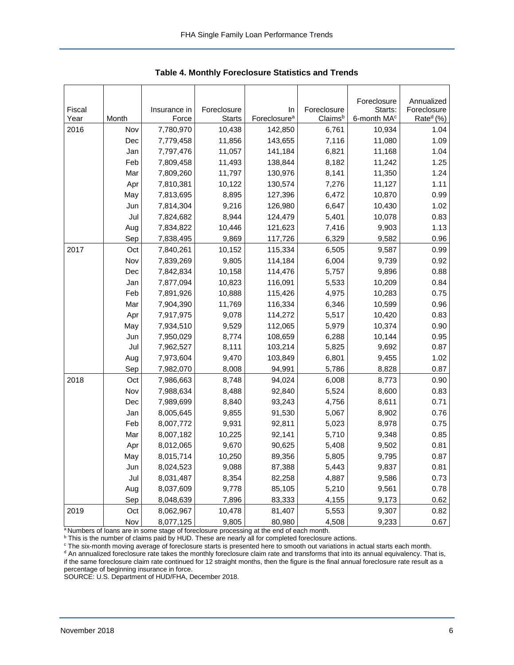<span id="page-6-0"></span>

|              |              |                        |                         |                                     |                | Foreclosure                       | Annualized                    |
|--------------|--------------|------------------------|-------------------------|-------------------------------------|----------------|-----------------------------------|-------------------------------|
| Fiscal       |              | Insurance in           | Foreclosure             | In                                  | Foreclosure    | Starts:                           | Foreclosure                   |
| Year<br>2016 | Month<br>Nov | Force                  | <b>Starts</b><br>10,438 | Foreclosure <sup>a</sup><br>142,850 | Claimsb        | 6-month MA <sup>c</sup><br>10,934 | Rate <sup>d</sup> (%)<br>1.04 |
|              |              | 7,780,970              | 11,856                  | 143,655                             | 6,761          |                                   | 1.09                          |
|              | Dec          | 7,779,458              |                         |                                     | 7,116          | 11,080                            | 1.04                          |
|              | Jan<br>Feb   | 7,797,476<br>7,809,458 | 11,057<br>11,493        | 141,184<br>138,844                  | 6,821<br>8,182 | 11,168<br>11,242                  | 1.25                          |
|              |              |                        |                         | 130,976                             |                |                                   |                               |
|              | Mar          | 7,809,260<br>7,810,381 | 11,797<br>10,122        | 130,574                             | 8,141<br>7,276 | 11,350<br>11,127                  | 1.24<br>1.11                  |
|              | Apr          |                        |                         |                                     |                |                                   | 0.99                          |
|              | May          | 7,813,695              | 8,895                   | 127,396                             | 6,472          | 10,870                            |                               |
|              | Jun          | 7,814,304              | 9,216                   | 126,980                             | 6,647          | 10,430                            | 1.02                          |
|              | Jul          | 7,824,682              | 8,944                   | 124,479                             | 5,401          | 10,078                            | 0.83                          |
|              | Aug          | 7,834,822              | 10,446                  | 121,623                             | 7,416          | 9,903                             | 1.13                          |
|              | Sep          | 7,838,495              | 9,869                   | 117,726                             | 6,329          | 9,582                             | 0.96                          |
| 2017         | Oct          | 7,840,261              | 10,152                  | 115,334                             | 6,505          | 9,587                             | 0.99                          |
|              | Nov          | 7,839,269              | 9,805                   | 114,184                             | 6,004          | 9,739                             | 0.92                          |
|              | Dec          | 7,842,834              | 10,158                  | 114,476                             | 5,757          | 9,896                             | 0.88                          |
|              | Jan          | 7,877,094              | 10,823                  | 116,091                             | 5,533          | 10,209                            | 0.84                          |
|              | Feb          | 7,891,926              | 10,888                  | 115,426                             | 4,975          | 10,283                            | 0.75                          |
|              | Mar          | 7,904,390              | 11,769                  | 116,334                             | 6,346          | 10,599                            | 0.96                          |
|              | Apr          | 7,917,975              | 9,078                   | 114,272                             | 5,517          | 10,420                            | 0.83                          |
|              | May          | 7,934,510              | 9,529                   | 112,065                             | 5,979          | 10,374                            | 0.90                          |
|              | Jun          | 7,950,029              | 8,774                   | 108,659                             | 6,288          | 10,144                            | 0.95                          |
|              | Jul          | 7,962,527              | 8,111                   | 103,214                             | 5,825          | 9,692                             | 0.87                          |
|              | Aug          | 7,973,604              | 9,470                   | 103,849                             | 6,801          | 9,455                             | 1.02                          |
|              | Sep          | 7,982,070              | 8,008                   | 94,991                              | 5,786          | 8,828                             | 0.87                          |
| 2018         | Oct          | 7,986,663              | 8,748                   | 94,024                              | 6,008          | 8,773                             | 0.90                          |
|              | Nov          | 7,988,634              | 8,488                   | 92,840                              | 5,524          | 8,600                             | 0.83                          |
|              | Dec          | 7,989,699              | 8,840                   | 93,243                              | 4,756          | 8,611                             | 0.71                          |
|              | Jan          | 8,005,645              | 9,855                   | 91,530                              | 5,067          | 8,902                             | 0.76                          |
|              | Feb          | 8,007,772              | 9,931                   | 92,811                              | 5,023          | 8,978                             | 0.75                          |
|              | Mar          | 8,007,182              | 10,225                  | 92,141                              | 5,710          | 9,348                             | 0.85                          |
|              | Apr          | 8,012,065              | 9,670                   | 90,625                              | 5,408          | 9,502                             | 0.81                          |
|              | May          | 8,015,714              | 10,250                  | 89,356                              | 5,805          | 9,795                             | 0.87                          |
|              | Jun          | 8,024,523              | 9,088                   | 87,388                              | 5,443          | 9,837                             | 0.81                          |
|              | Jul          | 8,031,487              | 8,354                   | 82,258                              | 4,887          | 9,586                             | 0.73                          |
|              | Aug          | 8,037,609              | 9,778                   | 85,105                              | 5,210          | 9,561                             | 0.78                          |
|              | Sep          | 8,048,639              | 7,896                   | 83,333                              | 4,155          | 9,173                             | 0.62                          |
| 2019         | Oct          | 8,062,967              | 10,478                  | 81,407                              | 5,553          | 9,307                             | 0.82                          |
|              | Nov          | 8,077,125              | 9,805                   | 80,980                              | 4,508          | 9,233                             | 0.67                          |

**Table 4. Monthly Foreclosure Statistics and Trends**

<sup>a</sup> Numbers of loans are in some stage of foreclosure processing at the end of each month.

 $^{\rm b}$  This is the number of claims paid by HUD. These are nearly all for completed foreclosure actions.

<sup>c</sup> The six-month moving average of foreclosure starts is presented here to smooth out variations in actual starts each month.

d An annualized foreclosure rate takes the monthly foreclosure claim rate and transforms that into its annual equivalency. That is, if the same foreclosure claim rate continued for 12 straight months, then the figure is the final annual foreclosure rate result as a percentage of beginning insurance in force.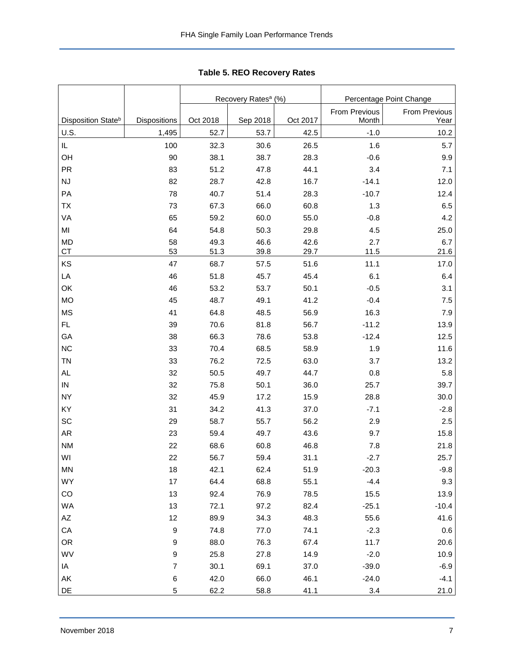<span id="page-7-0"></span>

|                                |                  |          | Recovery Rates <sup>a</sup> (%) |          | Percentage Point Change |                       |  |
|--------------------------------|------------------|----------|---------------------------------|----------|-------------------------|-----------------------|--|
| Disposition State <sup>b</sup> | Dispositions     | Oct 2018 | Sep 2018                        | Oct 2017 | From Previous<br>Month  | From Previous<br>Year |  |
| U.S.                           | 1,495            | 52.7     | 53.7                            | 42.5     | $-1.0$                  | 10.2                  |  |
| IL                             | 100              | 32.3     | 30.6                            | 26.5     | 1.6                     | 5.7                   |  |
| OH                             | 90               | 38.1     | 38.7                            | 28.3     | $-0.6$                  | 9.9                   |  |
| <b>PR</b>                      | 83               | 51.2     | 47.8                            | 44.1     | 3.4                     | 7.1                   |  |
| NJ                             | 82               | 28.7     | 42.8                            | 16.7     | $-14.1$                 | 12.0                  |  |
| PA                             | 78               | 40.7     | 51.4                            | 28.3     | $-10.7$                 | 12.4                  |  |
| TX                             | 73               | 67.3     | 66.0                            | 60.8     | 1.3                     | 6.5                   |  |
| VA                             | 65               | 59.2     | 60.0                            | 55.0     | $-0.8$                  | 4.2                   |  |
| MI                             | 64               | 54.8     | 50.3                            | 29.8     | 4.5                     | 25.0                  |  |
| <b>MD</b>                      | 58               | 49.3     | 46.6                            | 42.6     | 2.7                     | 6.7                   |  |
| <b>CT</b>                      | 53               | 51.3     | 39.8                            | 29.7     | 11.5                    | 21.6                  |  |
| KS                             | 47               | 68.7     | 57.5                            | 51.6     | 11.1                    | 17.0                  |  |
| LA                             | 46               | 51.8     | 45.7                            | 45.4     | 6.1                     | 6.4                   |  |
| OK                             | 46               | 53.2     | 53.7                            | 50.1     | $-0.5$                  | 3.1                   |  |
| <b>MO</b>                      | 45               | 48.7     | 49.1                            | 41.2     | $-0.4$                  | 7.5                   |  |
| <b>MS</b>                      | 41               | 64.8     | 48.5                            | 56.9     | 16.3                    | 7.9                   |  |
| FL.                            | 39               | 70.6     | 81.8                            | 56.7     | $-11.2$                 | 13.9                  |  |
| GA                             | 38               | 66.3     | 78.6                            | 53.8     | $-12.4$                 | 12.5                  |  |
| <b>NC</b>                      | 33               | 70.4     | 68.5                            | 58.9     | 1.9                     | 11.6                  |  |
| <b>TN</b>                      | 33               | 76.2     | 72.5                            | 63.0     | 3.7                     | 13.2                  |  |
| <b>AL</b>                      | 32               | 50.5     | 49.7                            | 44.7     | 0.8                     | 5.8                   |  |
| ${\sf IN}$                     | 32               | 75.8     | 50.1                            | 36.0     | 25.7                    | 39.7                  |  |
| <b>NY</b>                      | 32               | 45.9     | 17.2                            | 15.9     | 28.8                    | 30.0                  |  |
| KY                             | 31               | 34.2     | 41.3                            | 37.0     | $-7.1$                  | $-2.8$                |  |
| SC                             | 29               | 58.7     | 55.7                            | 56.2     | 2.9                     | 2.5                   |  |
| AR                             | 23               | 59.4     | 49.7                            | 43.6     | 9.7                     | 15.8                  |  |
| <b>NM</b>                      | 22               | 68.6     | 60.8                            | 46.8     | 7.8                     | 21.8                  |  |
| WI                             | 22               | 56.7     | 59.4                            | 31.1     | $-2.7$                  | 25.7                  |  |
| MN                             | 18               | 42.1     | 62.4                            | 51.9     | $-20.3$                 | $-9.8$                |  |
| WY                             | 17               | 64.4     | 68.8                            | 55.1     | $-4.4$                  | 9.3                   |  |
| CO                             | 13               | 92.4     | 76.9                            | 78.5     | 15.5                    | 13.9                  |  |
| <b>WA</b>                      | 13               | 72.1     | 97.2                            | 82.4     | $-25.1$                 | $-10.4$               |  |
| AZ                             | 12               | 89.9     | 34.3                            | 48.3     | 55.6                    | 41.6                  |  |
| CA                             | 9                | 74.8     | 77.0                            | 74.1     | $-2.3$                  | $0.6\,$               |  |
| <b>OR</b>                      | $\boldsymbol{9}$ | 88.0     | 76.3                            | 67.4     | 11.7                    | 20.6                  |  |
| WV                             | $\boldsymbol{9}$ | 25.8     | 27.8                            | 14.9     | $-2.0$                  | 10.9                  |  |
| IA                             | $\boldsymbol{7}$ | 30.1     | 69.1                            | 37.0     | $-39.0$                 | $-6.9$                |  |
| AK                             | 6                | 42.0     | 66.0                            | 46.1     | $-24.0$                 | $-4.1$                |  |
| DE                             | 5                | 62.2     | 58.8                            | 41.1     | 3.4                     | 21.0                  |  |

**Table 5. REO Recovery Rates**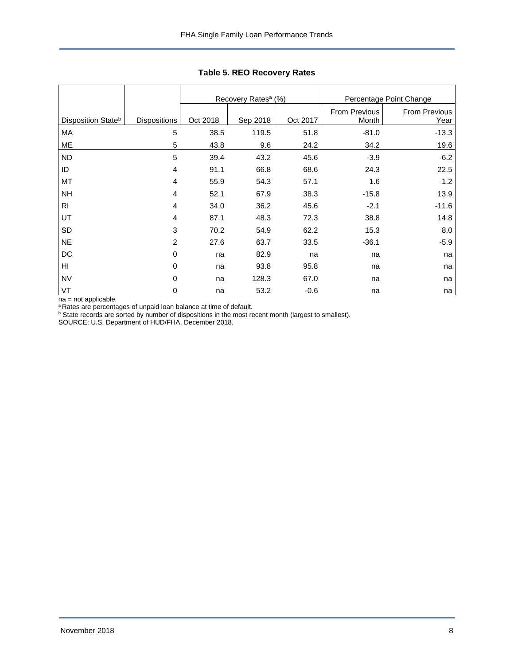|                                |                     |          | Recovery Rates <sup>a</sup> (%) |          | Percentage Point Change |               |  |
|--------------------------------|---------------------|----------|---------------------------------|----------|-------------------------|---------------|--|
|                                |                     |          |                                 |          | From Previous           | From Previous |  |
| Disposition State <sup>b</sup> | <b>Dispositions</b> | Oct 2018 | Sep 2018                        | Oct 2017 | Month                   | Year          |  |
| МA                             | 5                   | 38.5     | 119.5                           | 51.8     | $-81.0$                 | $-13.3$       |  |
| ME                             | 5                   | 43.8     | 9.6                             | 24.2     | 34.2                    | 19.6          |  |
| <b>ND</b>                      | 5                   | 39.4     | 43.2                            | 45.6     | $-3.9$                  | $-6.2$        |  |
| ID                             | 4                   | 91.1     | 66.8                            | 68.6     | 24.3                    | 22.5          |  |
| MT                             | 4                   | 55.9     | 54.3                            | 57.1     | 1.6                     | $-1.2$        |  |
| <b>NH</b>                      | 4                   | 52.1     | 67.9                            | 38.3     | $-15.8$                 | 13.9          |  |
| R <sub>l</sub>                 | 4                   | 34.0     | 36.2                            | 45.6     | $-2.1$                  | $-11.6$       |  |
| UT                             | $\overline{4}$      | 87.1     | 48.3                            | 72.3     | 38.8                    | 14.8          |  |
| SD                             | 3                   | 70.2     | 54.9                            | 62.2     | 15.3                    | 8.0           |  |
| <b>NE</b>                      | $\overline{c}$      | 27.6     | 63.7                            | 33.5     | $-36.1$                 | $-5.9$        |  |
| DC                             | 0                   | na       | 82.9                            | na       | na                      | na            |  |
| H <sub>l</sub>                 | 0                   | na       | 93.8                            | 95.8     | na                      | na            |  |
| <b>NV</b>                      | 0                   | na       | 128.3                           | 67.0     | na                      | na            |  |
| VT                             | 0                   | na       | 53.2                            | $-0.6$   | na                      | na            |  |

**Table 5. REO Recovery Rates**

na = not applicable.

<sup>a</sup> Rates are percentages of unpaid loan balance at time of default.

<sup>b</sup> State records are sorted by number of dispositions in the most recent month (largest to smallest).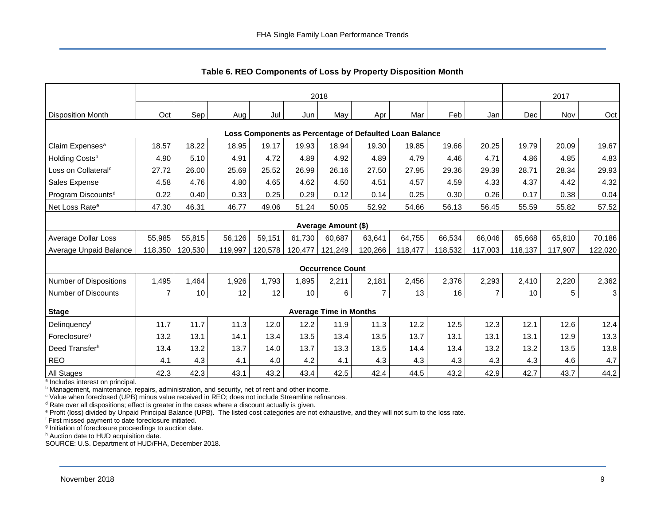<span id="page-9-0"></span>

|                                                         | 2018           |                 |         |         |         |                               |                |         |         |                |         | 2017    |         |
|---------------------------------------------------------|----------------|-----------------|---------|---------|---------|-------------------------------|----------------|---------|---------|----------------|---------|---------|---------|
| <b>Disposition Month</b>                                | Oct            | Sep             | Aug     | Jul     | Jun     | May                           | Apr            | Mar     | Feb     | Jan            | Dec     | Nov     | Oct     |
| Loss Components as Percentage of Defaulted Loan Balance |                |                 |         |         |         |                               |                |         |         |                |         |         |         |
| Claim Expenses <sup>a</sup>                             | 18.57          | 18.22           | 18.95   | 19.17   | 19.93   | 18.94                         | 19.30          | 19.85   | 19.66   | 20.25          | 19.79   | 20.09   | 19.67   |
| Holding Costsb                                          | 4.90           | 5.10            | 4.91    | 4.72    | 4.89    | 4.92                          | 4.89           | 4.79    | 4.46    | 4.71           | 4.86    | 4.85    | 4.83    |
| Loss on Collateral <sup>c</sup>                         | 27.72          | 26.00           | 25.69   | 25.52   | 26.99   | 26.16                         | 27.50          | 27.95   | 29.36   | 29.39          | 28.71   | 28.34   | 29.93   |
| Sales Expense                                           | 4.58           | 4.76            | 4.80    | 4.65    | 4.62    | 4.50                          | 4.51           | 4.57    | 4.59    | 4.33           | 4.37    | 4.42    | 4.32    |
| Program Discounts <sup>d</sup>                          | 0.22           | 0.40            | 0.33    | 0.25    | 0.29    | 0.12                          | 0.14           | 0.25    | 0.30    | 0.26           | 0.17    | 0.38    | 0.04    |
| Net Loss Rate <sup>e</sup>                              | 47.30          | 46.31           | 46.77   | 49.06   | 51.24   | 50.05                         | 52.92          | 54.66   | 56.13   | 56.45          | 55.59   | 55.82   | 57.52   |
|                                                         |                |                 |         |         |         |                               |                |         |         |                |         |         |         |
|                                                         |                |                 |         |         |         | Average Amount (\$)           |                |         |         |                |         |         |         |
| Average Dollar Loss                                     | 55,985         | 55,815          | 56,126  | 59,151  | 61,730  | 60,687                        | 63,641         | 64,755  | 66,534  | 66,046         | 65,668  | 65,810  | 70,186  |
| Average Unpaid Balance                                  | 118,350        | 120,530         | 119,997 | 120,578 | 120,477 | 121,249                       | 120,266        | 118,477 | 118,532 | 117,003        | 118,137 | 117,907 | 122,020 |
|                                                         |                |                 |         |         |         | <b>Occurrence Count</b>       |                |         |         |                |         |         |         |
| Number of Dispositions                                  | 1,495          | 1,464           | 1,926   | 1,793   | 1,895   | 2,211                         | 2,181          | 2,456   | 2,376   | 2,293          | 2,410   | 2,220   | 2,362   |
| Number of Discounts                                     | $\overline{7}$ | 10 <sup>°</sup> | 12      | 12      | 10      | 6                             | $\overline{7}$ | 13      | 16      | $\overline{7}$ | 10      | 5       | 3       |
| <b>Stage</b>                                            |                |                 |         |         |         | <b>Average Time in Months</b> |                |         |         |                |         |         |         |
|                                                         |                |                 |         |         |         |                               |                |         |         |                |         |         |         |
| Delinquencyf                                            | 11.7           | 11.7            | 11.3    | 12.0    | 12.2    | 11.9                          | 11.3           | 12.2    | 12.5    | 12.3           | 12.1    | 12.6    | 12.4    |
| Foreclosure <sup>g</sup>                                | 13.2           | 13.1            | 14.1    | 13.4    | 13.5    | 13.4                          | 13.5           | 13.7    | 13.1    | 13.1           | 13.1    | 12.9    | 13.3    |
| Deed Transferh                                          | 13.4           | 13.2            | 13.7    | 14.0    | 13.7    | 13.3                          | 13.5           | 14.4    | 13.4    | 13.2           | 13.2    | 13.5    | 13.8    |
| <b>REO</b>                                              | 4.1            | 4.3             | 4.1     | 4.0     | 4.2     | 4.1                           | 4.3            | 4.3     | 4.3     | 4.3            | 4.3     | 4.6     | 4.7     |
| All Stages                                              | 42.3           | 42.3            | 43.1    | 43.2    | 43.4    | 42.5                          | 42.4           | 44.5    | 43.2    | 42.9           | 42.7    | 43.7    | 44.2    |

**Table 6. REO Components of Loss by Property Disposition Month**

<sup>a</sup> Includes interest on principal.

**b Management, maintenance, repairs, administration, and security, net of rent and other income.** 

<sup>c</sup> Value when foreclosed (UPB) minus value received in REO; does not include Streamline refinances.

d Rate over all dispositions; effect is greater in the cases where a discount actually is given.

<sup>e</sup> Profit (loss) divided by Unpaid Principal Balance (UPB). The listed cost categories are not exhaustive, and they will not sum to the loss rate.

<sup>f</sup> First missed payment to date foreclosure initiated.

<sup>g</sup> Initiation of foreclosure proceedings to auction date.

h Auction date to HUD acquisition date.